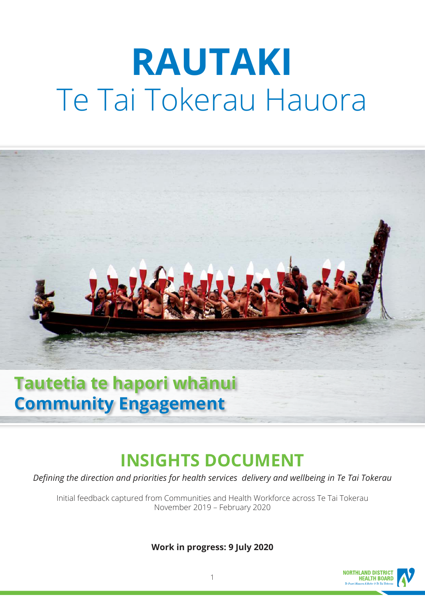# **RAUTAKI** Te Tai Tokerau Hauora



# **Community Engagement**

# **INSIGHTS DOCUMENT**

*Defining the direction and priorities for health services delivery and wellbeing in Te Tai Tokerau*

Initial feedback captured from Communities and Health Workforce across Te Tai Tokerau November 2019 – February 2020

**Work in progress: 9 July 2020**

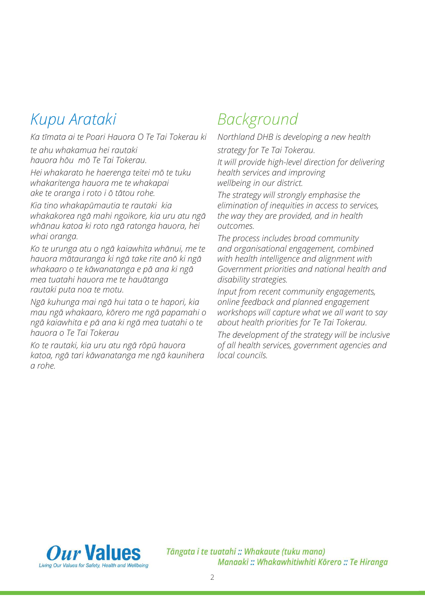# *Kupu Arataki*

*Ka tīmata ai te Poari Hauora O Te Tai Tokerau ki te ahu whakamua hei rautaki hauora hōu mō Te Tai Tokerau. Hei whakarato he haerenga teitei mō te tuku whakaritenga hauora me te whakapai* 

*ake te oranga i roto i ō tātou rohe.* 

*Kia tino whakapūmautia te rautaki kia whakakorea ngā mahi ngoikore, kia uru atu ngā whānau katoa ki roto ngā ratonga hauora, hei whai oranga.* 

*Ko te urunga atu o ngā kaiawhita whānui, me te hauora mātauranga ki ngā take rite anō ki ngā whakaaro o te kāwanatanga e pā ana ki ngā mea tuatahi hauora me te hauātanga rautaki puta noa te motu.* 

*Ngā kuhunga mai ngā hui tata o te hapori, kia mau ngā whakaaro, kōrero me ngā papamahi o ngā kaiawhita e pā ana ki ngā mea tuatahi o te hauora o Te Tai Tokerau*

*Ko te rautaki, kia uru atu ngā rōpū hauora katoa, ngā tari kāwanatanga me ngā kaunihera a rohe.*

# *Background*

*Northland DHB is developing a new health strategy for Te Tai Tokerau.* 

*It will provide high-level direction for delivering health services and improving wellbeing in our district.* 

*The strategy will strongly emphasise the elimination of inequities in access to services, the way they are provided, and in health outcomes.* 

*The process includes broad community and organisational engagement, combined with health intelligence and alignment with Government priorities and national health and disability strategies.* 

*Input from recent community engagements, online feedback and planned engagement workshops will capture what we all want to say about health priorities for Te Tai Tokerau.* 

*The development of the strategy will be inclusive of all health services, government agencies and local councils.*



Tāngata i te tuatahi :: Whakaute (tuku mana) Manaaki :: Whakawhitiwhiti Kōrero :: Te Hiranga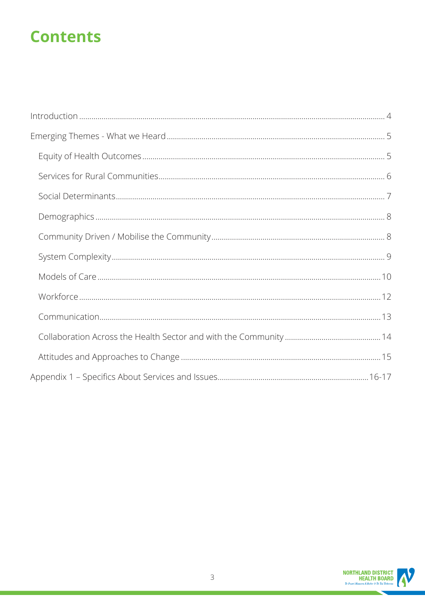# **Contents**

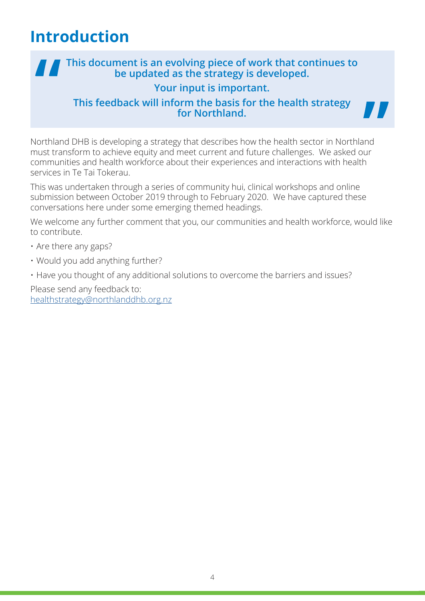# **Introduction**

# **This document is an evolving piece of work that continues to be updated as the strategy is developed. Your input is important. This feedback will inform the basis for the health strategy for Northland.**

77

Northland DHB is developing a strategy that describes how the health sector in Northland must transform to achieve equity and meet current and future challenges. We asked our communities and health workforce about their experiences and interactions with health services in Te Tai Tokerau.

This was undertaken through a series of community hui, clinical workshops and online submission between October 2019 through to February 2020. We have captured these conversations here under some emerging themed headings.

We welcome any further comment that you, our communities and health workforce, would like to contribute.

- Are there any gaps?
- Would you add anything further?
- Have you thought of any additional solutions to overcome the barriers and issues?

Please send any feedback to: healthstrategy@northlanddhb.org.nz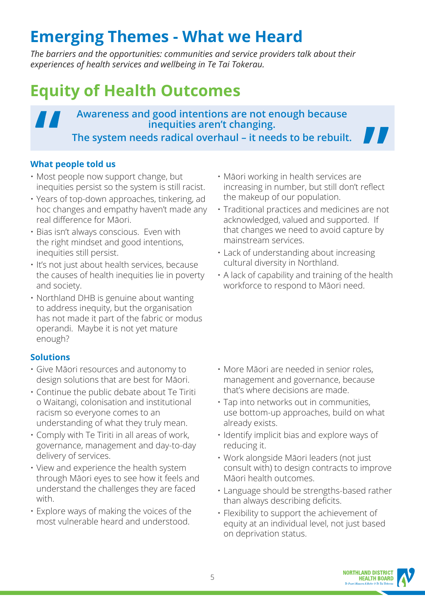# **Emerging Themes - What we Heard**

*The barriers and the opportunities: communities and service providers talk about their experiences of health services and wellbeing in Te Tai Tokerau.* 

# **Equity of Health Outcomes**

# **Awareness and good intentions are not enough because inequities aren't changing. The system needs radical overhaul – it needs to be rebuilt.**

### **What people told us**

- Most people now support change, but inequities persist so the system is still racist.
- Years of top-down approaches, tinkering, ad hoc changes and empathy haven't made any real difference for Māori.
- Bias isn't always conscious. Even with the right mindset and good intentions, inequities still persist.
- It's not just about health services, because the causes of health inequities lie in poverty and society.
- Northland DHB is genuine about wanting to address inequity, but the organisation has not made it part of the fabric or modus operandi. Maybe it is not yet mature enough?

- Give Māori resources and autonomy to design solutions that are best for Māori.
- Continue the public debate about Te Tiriti o Waitangi, colonisation and institutional racism so everyone comes to an understanding of what they truly mean.
- Comply with Te Tiriti in all areas of work, governance, management and day-to-day delivery of services.
- View and experience the health system through Māori eyes to see how it feels and understand the challenges they are faced with.
- Explore ways of making the voices of the most vulnerable heard and understood.
- Māori working in health services are increasing in number, but still don't reflect the makeup of our population.
- Traditional practices and medicines are not acknowledged, valued and supported. If that changes we need to avoid capture by mainstream services.
- Lack of understanding about increasing cultural diversity in Northland.
- A lack of capability and training of the health workforce to respond to Māori need.

- More Māori are needed in senior roles, management and governance, because that's where decisions are made.
- Tap into networks out in communities, use bottom-up approaches, build on what already exists.
- Identify implicit bias and explore ways of reducing it.
- Work alongside Māori leaders (not just consult with) to design contracts to improve Māori health outcomes.
- Language should be strengths-based rather than always describing deficits.
- Flexibility to support the achievement of equity at an individual level, not just based on deprivation status.

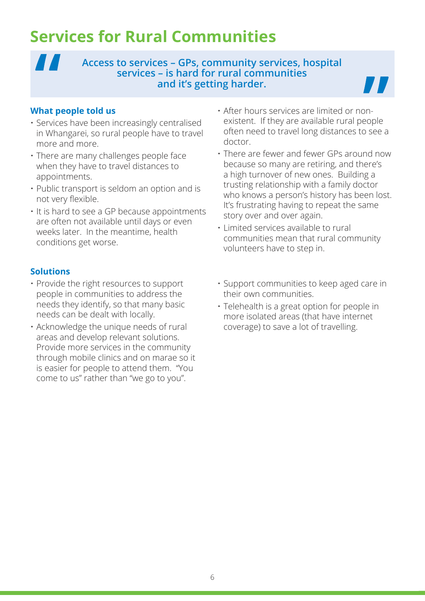# **Services for Rural Communities**

### **Access to services – GPs, community services, hospital services – is hard for rural communities and it's getting harder.**

#### **What people told us**

 $\blacksquare$ 

- Services have been increasingly centralised in Whangarei, so rural people have to travel more and more.
- There are many challenges people face when they have to travel distances to appointments.
- Public transport is seldom an option and is not very flexible.
- It is hard to see a GP because appointments are often not available until days or even weeks later. In the meantime, health conditions get worse.

- Provide the right resources to support people in communities to address the needs they identify, so that many basic needs can be dealt with locally.
- Acknowledge the unique needs of rural areas and develop relevant solutions. Provide more services in the community through mobile clinics and on marae so it is easier for people to attend them. "You come to us" rather than "we go to you".
- After hours services are limited or nonexistent. If they are available rural people often need to travel long distances to see a doctor.
- There are fewer and fewer GPs around now because so many are retiring, and there's a high turnover of new ones. Building a trusting relationship with a family doctor who knows a person's history has been lost. It's frustrating having to repeat the same story over and over again.
- Limited services available to rural communities mean that rural community volunteers have to step in.
- Support communities to keep aged care in their own communities.
- Telehealth is a great option for people in more isolated areas (that have internet coverage) to save a lot of travelling.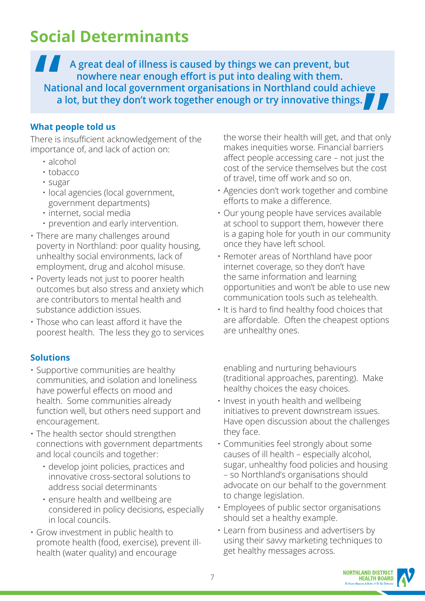# **Social Determinants**

 $\blacksquare$ **A great deal of illness is caused by things we can prevent, but nowhere near enough effort is put into dealing with them. National and local government organisations in Northland could achieve a lot, but they don't work together enough or try innovative things.**

### **What people told us**

There is insufficient acknowledgement of the importance of, and lack of action on:

- alcohol
- tobacco
- sugar
- local agencies (local government, government departments)
- internet, social media
- prevention and early intervention.
- There are many challenges around poverty in Northland: poor quality housing, unhealthy social environments, lack of employment, drug and alcohol misuse.
- Poverty leads not just to poorer health outcomes but also stress and anxiety which are contributors to mental health and substance addiction issues.
- Those who can least afford it have the poorest health. The less they go to services

### **Solutions**

- Supportive communities are healthy communities, and isolation and loneliness have powerful effects on mood and health. Some communities already function well, but others need support and encouragement.
- The health sector should strengthen connections with government departments and local councils and together:
	- develop joint policies, practices and innovative cross-sectoral solutions to address social determinants
	- ensure health and wellbeing are considered in policy decisions, especially in local councils.
- Grow investment in public health to promote health (food, exercise), prevent illhealth (water quality) and encourage

the worse their health will get, and that only makes inequities worse. Financial barriers affect people accessing care – not just the cost of the service themselves but the cost of travel, time off work and so on.

- Agencies don't work together and combine efforts to make a difference.
- Our young people have services available at school to support them, however there is a gaping hole for youth in our community once they have left school.
- Remoter areas of Northland have poor internet coverage, so they don't have the same information and learning opportunities and won't be able to use new communication tools such as telehealth.
- It is hard to find healthy food choices that are affordable. Often the cheapest options are unhealthy ones.

enabling and nurturing behaviours (traditional approaches, parenting). Make healthy choices the easy choices.

- Invest in youth health and wellbeing initiatives to prevent downstream issues. Have open discussion about the challenges they face.
- Communities feel strongly about some causes of ill health – especially alcohol, sugar, unhealthy food policies and housing – so Northland's organisations should advocate on our behalf to the government to change legislation.
- Employees of public sector organisations should set a healthy example.
- Learn from business and advertisers by using their savvy marketing techniques to get healthy messages across.

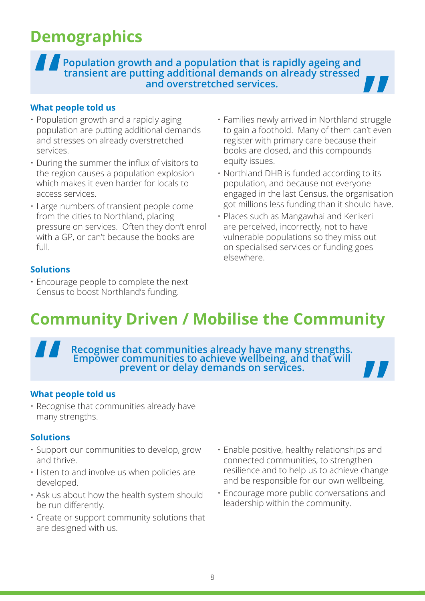# **Demographics**

**Population growth and a population that is rapidly ageing and transient are putting additional demands on already stressed and overstretched services.**

### **What people told us**

- Population growth and a rapidly aging population are putting additional demands and stresses on already overstretched services.
- During the summer the influx of visitors to the region causes a population explosion which makes it even harder for locals to access services.
- Large numbers of transient people come from the cities to Northland, placing pressure on services. Often they don't enrol with a GP, or can't because the books are  $f<sub>U</sub>$
- **Solutions**
- Encourage people to complete the next Census to boost Northland's funding.
- Families newly arrived in Northland struggle to gain a foothold. Many of them can't even register with primary care because their books are closed, and this compounds equity issues.
- Northland DHB is funded according to its population, and because not everyone engaged in the last Census, the organisation got millions less funding than it should have.
- Places such as Mangawhai and Kerikeri are perceived, incorrectly, not to have vulnerable populations so they miss out on specialised services or funding goes elsewhere.

# **Community Driven / Mobilise the Community**

**Recognise that communities already have many strengths. Empower communities to achieve wellbeing, and that will prevent or delay demands on services.**

### **What people told us**

• Recognise that communities already have many strengths.

- Support our communities to develop, grow and thrive.
- Listen to and involve us when policies are developed.
- Ask us about how the health system should be run differently.
- Create or support community solutions that are designed with us.
- Enable positive, healthy relationships and connected communities, to strengthen resilience and to help us to achieve change and be responsible for our own wellbeing.
- Encourage more public conversations and leadership within the community.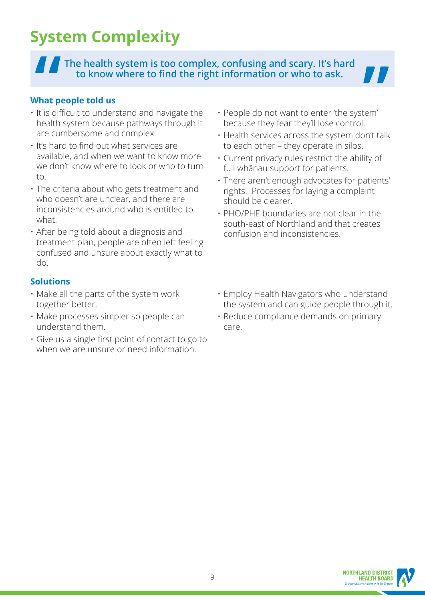# **System Complexity**

**The health system is too complex, confusing and scary. It's hard to know where to find the right information or who to ask.**



### **What people told us**

- It is difficult to understand and navigate the health system because pathways through it are cumbersome and complex.
- It's hard to find out what services are available, and when we want to know more we don't know where to look or who to turn to.
- The criteria about who gets treatment and who doesn't are unclear, and there are inconsistencies around who is entitled to what.
- After being told about a diagnosis and treatment plan, people are often left feeling confused and unsure about exactly what to do.

- Make all the parts of the system work together better.
- Make processes simpler so people can understand them.
- Give us a single first point of contact to go to when we are unsure or need information.
- People do not want to enter 'the system' because they fear they'll lose control.
- Health services across the system don't talk to each other – they operate in silos.
- Current privacy rules restrict the ability of full whānau support for patients.
- There aren't enough advocates for patients' rights. Processes for laying a complaint should be clearer.
- PHO/PHE boundaries are not clear in the south-east of Northland and that creates confusion and inconsistencies.
- Employ Health Navigators who understand the system and can guide people through it.
- Reduce compliance demands on primary care.

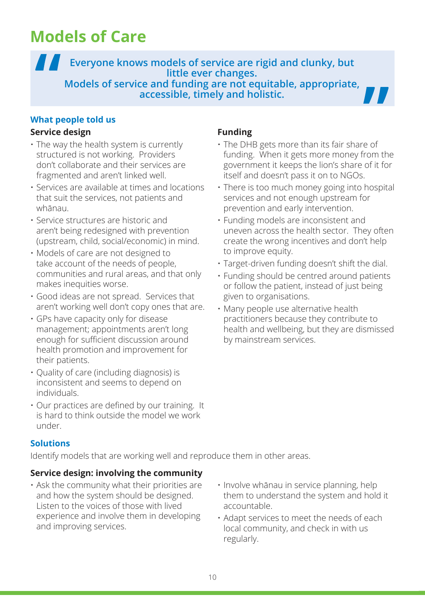# **Models of Care**

**Everyone knows models of service are rigid and clunky, but little ever changes. Models of service and funding are not equitable, appropriate, accessible, timely and holistic.**

#### **What people told us**

#### **Service design**

- The way the health system is currently structured is not working. Providers don't collaborate and their services are fragmented and aren't linked well.
- Services are available at times and locations that suit the services, not patients and whānau.
- Service structures are historic and aren't being redesigned with prevention (upstream, child, social/economic) in mind.
- Models of care are not designed to take account of the needs of people, communities and rural areas, and that only makes inequities worse.
- Good ideas are not spread. Services that aren't working well don't copy ones that are.
- GPs have capacity only for disease management; appointments aren't long enough for sufficient discussion around health promotion and improvement for their patients.
- Quality of care (including diagnosis) is inconsistent and seems to depend on individuals.
- Our practices are defined by our training. It is hard to think outside the model we work under.

### **Funding**

- The DHB gets more than its fair share of funding. When it gets more money from the government it keeps the lion's share of it for itself and doesn't pass it on to NGOs.
- There is too much money going into hospital services and not enough upstream for prevention and early intervention.
- Funding models are inconsistent and uneven across the health sector. They often create the wrong incentives and don't help to improve equity.
- Target-driven funding doesn't shift the dial.
- Funding should be centred around patients or follow the patient, instead of just being given to organisations.
- Many people use alternative health practitioners because they contribute to health and wellbeing, but they are dismissed by mainstream services.

### **Solutions**

Identify models that are working well and reproduce them in other areas.

### **Service design: involving the community**

- Ask the community what their priorities are and how the system should be designed. Listen to the voices of those with lived experience and involve them in developing and improving services.
- Involve whānau in service planning, help them to understand the system and hold it accountable.
- Adapt services to meet the needs of each local community, and check in with us regularly.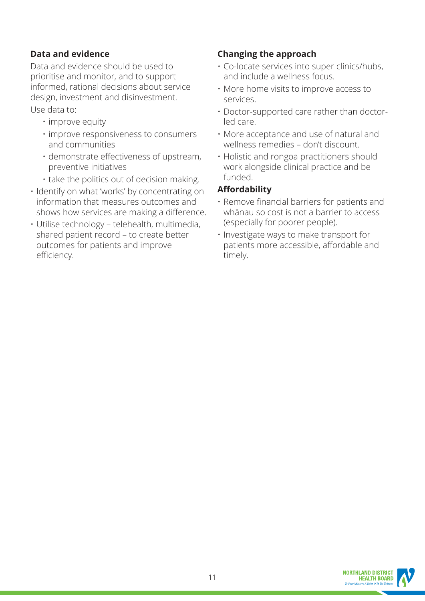### **Data and evidence**

Data and evidence should be used to prioritise and monitor, and to support informed, rational decisions about service design, investment and disinvestment. Use data to:

- improve equity
- improve responsiveness to consumers and communities
- demonstrate effectiveness of upstream, preventive initiatives
- take the politics out of decision making.
- Identify on what 'works' by concentrating on information that measures outcomes and shows how services are making a difference.
- Utilise technology telehealth, multimedia, shared patient record – to create better outcomes for patients and improve efficiency.

### **Changing the approach**

- Co-locate services into super clinics/hubs, and include a wellness focus.
- More home visits to improve access to services.
- Doctor-supported care rather than doctorled care.
- More acceptance and use of natural and wellness remedies – don't discount.
- Holistic and rongoa practitioners should work alongside clinical practice and be funded.

### **Affordability**

- Remove financial barriers for patients and whānau so cost is not a barrier to access (especially for poorer people).
- Investigate ways to make transport for patients more accessible, affordable and timely.

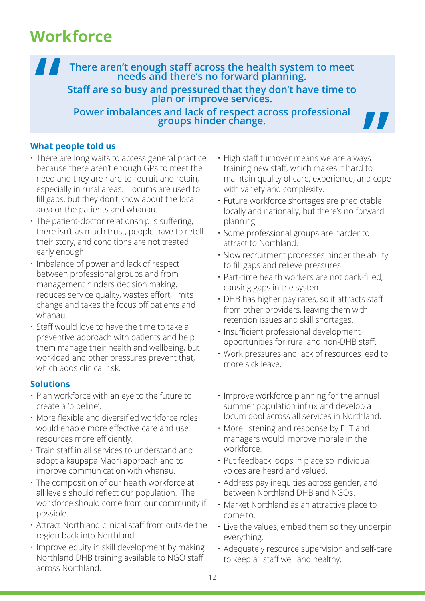# **Workforce**

**There aren't enough staff across the health system to meet needs and there's no forward planning.**

**Staff are so busy and pressured that they don't have time to plan or improve services.**

**Power imbalances and lack of respect across professional groups hinder change.**



- There are long waits to access general practice because there aren't enough GPs to meet the need and they are hard to recruit and retain, especially in rural areas. Locums are used to fill gaps, but they don't know about the local area or the patients and whānau.
- The patient-doctor relationship is suffering, there isn't as much trust, people have to retell their story, and conditions are not treated early enough.
- Imbalance of power and lack of respect between professional groups and from management hinders decision making, reduces service quality, wastes effort, limits change and takes the focus off patients and whānau.
- Staff would love to have the time to take a preventive approach with patients and help them manage their health and wellbeing, but workload and other pressures prevent that, which adds clinical risk.

### **Solutions**

- Plan workforce with an eye to the future to create a 'pipeline'.
- More flexible and diversified workforce roles would enable more effective care and use resources more efficiently.
- Train staff in all services to understand and adopt a kaupapa Māori approach and to improve communication with whanau.
- The composition of our health workforce at all levels should reflect our population. The workforce should come from our community if possible.
- Attract Northland clinical staff from outside the region back into Northland.
- Improve equity in skill development by making Northland DHB training available to NGO staff across Northland.

• High staff turnover means we are always training new staff, which makes it hard to maintain quality of care, experience, and cope with variety and complexity.

77

- Future workforce shortages are predictable locally and nationally, but there's no forward planning.
- Some professional groups are harder to attract to Northland.
- Slow recruitment processes hinder the ability to fill gaps and relieve pressures.
- Part-time health workers are not back-filled, causing gaps in the system.
- DHB has higher pay rates, so it attracts staff from other providers, leaving them with retention issues and skill shortages.
- Insufficient professional development opportunities for rural and non-DHB staff.
- Work pressures and lack of resources lead to more sick leave.
- Improve workforce planning for the annual summer population influx and develop a locum pool across all services in Northland.
- More listening and response by ELT and managers would improve morale in the workforce.
- Put feedback loops in place so individual voices are heard and valued.
- Address pay inequities across gender, and between Northland DHB and NGOs.
- Market Northland as an attractive place to come to.
- Live the values, embed them so they underpin everything.
- Adequately resource supervision and self-care to keep all staff well and healthy.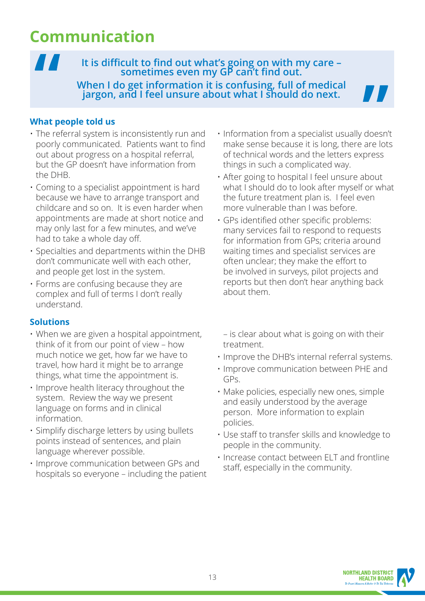# **Communication**

**It is difficult to find out what's going on with my care – sometimes even my GP can't find out. When I do get information it is confusing, full of medical jargon, and I feel unsure about what I should do next.**

### **What people told us**

 $\boldsymbol{\mathcal{H}}$ 

- The referral system is inconsistently run and poorly communicated. Patients want to find out about progress on a hospital referral, but the GP doesn't have information from the DHB.
- Coming to a specialist appointment is hard because we have to arrange transport and childcare and so on. It is even harder when appointments are made at short notice and may only last for a few minutes, and we've had to take a whole day off.
- Specialties and departments within the DHB don't communicate well with each other, and people get lost in the system.
- Forms are confusing because they are complex and full of terms I don't really understand.

- When we are given a hospital appointment, think of it from our point of view – how much notice we get, how far we have to travel, how hard it might be to arrange things, what time the appointment is.
- Improve health literacy throughout the system. Review the way we present language on forms and in clinical information.
- Simplify discharge letters by using bullets points instead of sentences, and plain language wherever possible.
- Improve communication between GPs and hospitals so everyone – including the patient
- Information from a specialist usually doesn't make sense because it is long, there are lots of technical words and the letters express things in such a complicated way.
- After going to hospital I feel unsure about what I should do to look after myself or what the future treatment plan is. I feel even more vulnerable than I was before.
- GPs identified other specific problems: many services fail to respond to requests for information from GPs; criteria around waiting times and specialist services are often unclear; they make the effort to be involved in surveys, pilot projects and reports but then don't hear anything back about them.
	- is clear about what is going on with their treatment.
- Improve the DHB's internal referral systems.
- Improve communication between PHE and GPs.
- Make policies, especially new ones, simple and easily understood by the average person. More information to explain policies.
- Use staff to transfer skills and knowledge to people in the community.
- Increase contact between ELT and frontline staff, especially in the community.

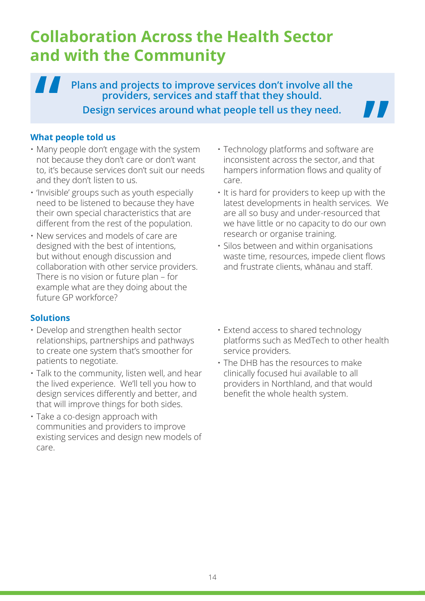# **Collaboration Across the Health Sector and with the Community**

 $\blacksquare$ **Plans and projects to improve services don't involve all the providers, services and staff that they should. Design services around what people tell us they need.**

#### **What people told us**

- Many people don't engage with the system not because they don't care or don't want to, it's because services don't suit our needs and they don't listen to us.
- 'Invisible' groups such as youth especially need to be listened to because they have their own special characteristics that are different from the rest of the population.
- New services and models of care are designed with the best of intentions, but without enough discussion and collaboration with other service providers. There is no vision or future plan – for example what are they doing about the future GP workforce?

### **Solutions**

- Develop and strengthen health sector relationships, partnerships and pathways to create one system that's smoother for patients to negotiate.
- Talk to the community, listen well, and hear the lived experience. We'll tell you how to design services differently and better, and that will improve things for both sides.
- Take a co-design approach with communities and providers to improve existing services and design new models of care.

• Technology platforms and software are inconsistent across the sector, and that hampers information flows and quality of care.

77

- It is hard for providers to keep up with the latest developments in health services. We are all so busy and under-resourced that we have little or no capacity to do our own research or organise training.
- Silos between and within organisations waste time, resources, impede client flows and frustrate clients, whānau and staff.
- Extend access to shared technology platforms such as MedTech to other health service providers.
- The DHB has the resources to make clinically focused hui available to all providers in Northland, and that would benefit the whole health system.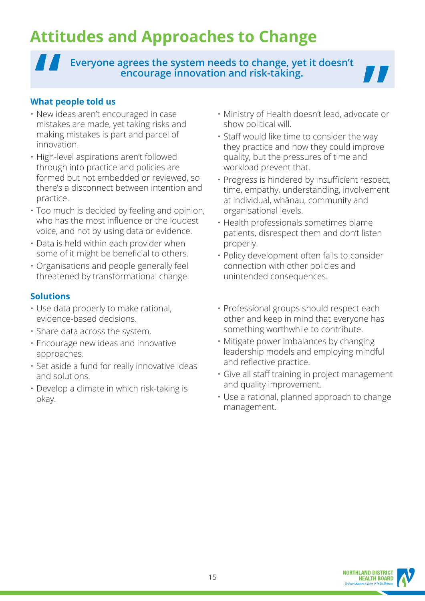# **Attitudes and Approaches to Change**

**Everyone agrees the system needs to change, yet it doesn't encourage innovation and risk-taking.**



### **What people told us**

- New ideas aren't encouraged in case mistakes are made, yet taking risks and making mistakes is part and parcel of innovation.
- High-level aspirations aren't followed through into practice and policies are formed but not embedded or reviewed, so there's a disconnect between intention and practice.
- Too much is decided by feeling and opinion, who has the most influence or the loudest voice, and not by using data or evidence.
- Data is held within each provider when some of it might be beneficial to others.
- Organisations and people generally feel threatened by transformational change.

- Use data properly to make rational, evidence-based decisions.
- Share data across the system.
- Encourage new ideas and innovative approaches.
- Set aside a fund for really innovative ideas and solutions.
- Develop a climate in which risk-taking is okay.
- Ministry of Health doesn't lead, advocate or show political will.
- Staff would like time to consider the way they practice and how they could improve quality, but the pressures of time and workload prevent that.
- Progress is hindered by insufficient respect, time, empathy, understanding, involvement at individual, whānau, community and organisational levels.
- Health professionals sometimes blame patients, disrespect them and don't listen properly.
- Policy development often fails to consider connection with other policies and unintended consequences.
- Professional groups should respect each other and keep in mind that everyone has something worthwhile to contribute.
- Mitigate power imbalances by changing leadership models and employing mindful and reflective practice.
- Give all staff training in project management and quality improvement.
- Use a rational, planned approach to change management.

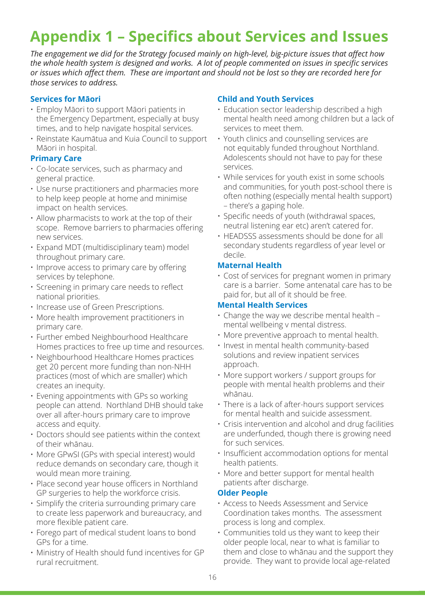# **Appendix 1 – Specifics about Services and Issues**

*The engagement we did for the Strategy focused mainly on high-level, big-picture issues that affect how the whole health system is designed and works. A lot of people commented on issues in specific services or issues which affect them. These are important and should not be lost so they are recorded here for those services to address.*

#### **Services for Māori**

- Employ Māori to support Māori patients in the Emergency Department, especially at busy times, and to help navigate hospital services.
- Reinstate Kaumātua and Kuia Council to support Māori in hospital.

#### **Primary Care**

- Co-locate services, such as pharmacy and general practice.
- Use nurse practitioners and pharmacies more to help keep people at home and minimise impact on health services.
- Allow pharmacists to work at the top of their scope. Remove barriers to pharmacies offering new services.
- Expand MDT (multidisciplinary team) model throughout primary care.
- Improve access to primary care by offering services by telephone.
- Screening in primary care needs to reflect national priorities.
- Increase use of Green Prescriptions.
- More health improvement practitioners in primary care.
- Further embed Neighbourhood Healthcare Homes practices to free up time and resources.
- Neighbourhood Healthcare Homes practices get 20 percent more funding than non-NHH practices (most of which are smaller) which creates an inequity.
- Evening appointments with GPs so working people can attend. Northland DHB should take over all after-hours primary care to improve access and equity.
- Doctors should see patients within the context of their whānau.
- More GPwSI (GPs with special interest) would reduce demands on secondary care, though it would mean more training.
- Place second year house officers in Northland GP surgeries to help the workforce crisis.
- Simplify the criteria surrounding primary care to create less paperwork and bureaucracy, and more flexible patient care.
- Forego part of medical student loans to bond GPs for a time.
- Ministry of Health should fund incentives for GP rural recruitment.

#### **Child and Youth Services**

- Education sector leadership described a high mental health need among children but a lack of services to meet them.
- Youth clinics and counselling services are not equitably funded throughout Northland. Adolescents should not have to pay for these services.
- While services for youth exist in some schools and communities, for youth post-school there is often nothing (especially mental health support) – there's a gaping hole.
- Specific needs of youth (withdrawal spaces, neutral listening ear etc) aren't catered for.
- HEADSSS assessments should be done for all secondary students regardless of year level or decile.

#### **Maternal Health**

• Cost of services for pregnant women in primary care is a barrier. Some antenatal care has to be paid for, but all of it should be free.

#### **Mental Health Services**

- Change the way we describe mental health mental wellbeing v mental distress.
- More preventive approach to mental health.
- Invest in mental health community-based solutions and review inpatient services approach.
- More support workers / support groups for people with mental health problems and their whānau.
- There is a lack of after-hours support services for mental health and suicide assessment.
- Crisis intervention and alcohol and drug facilities are underfunded, though there is growing need for such services.
- Insufficient accommodation options for mental health patients.
- More and better support for mental health patients after discharge.

#### **Older People**

- Access to Needs Assessment and Service Coordination takes months. The assessment process is long and complex.
- Communities told us they want to keep their older people local, near to what is familiar to them and close to whānau and the support they provide. They want to provide local age-related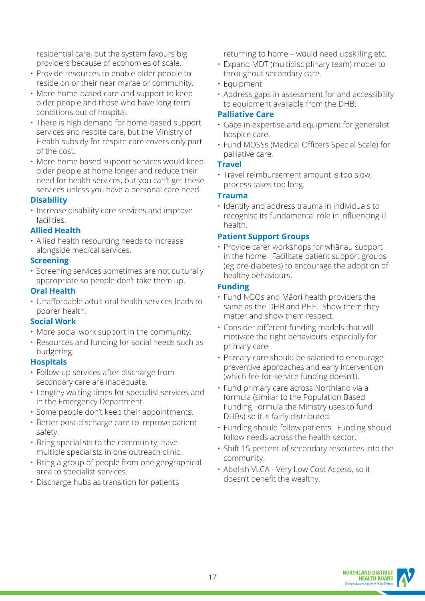residential care, but the system favours big providers because of economies of scale.

- Provide resources to enable older people to reside on or their near marae or community.
- More home-based care and support to keep older people and those who have long term conditions out of hospital.
- There is high demand for home-based support services and respite care, but the Ministry of Health subsidy for respite care covers only part of the cost.
- More home based support services would keep older people at home longer and reduce their need for health services, but you can't get these services unless you have a personal care need.

#### **Disability**

• Increase disability care services and improve facilities.

#### **Allied Health**

• Allied health resourcing needs to increase alongside medical services.

#### **Screening**

• Screening services sometimes are not culturally appropriate so people don't take them up.

#### **Oral Health**

• Unaffordable adult oral health services leads to poorer health.

#### **Social Work**

- More social work support in the community.
- Resources and funding for social needs such as budgeting.

#### **Hospitals**

- Follow-up services after discharge from secondary care are inadequate.
- Lengthy waiting times for specialist services and in the Emergency Department.
- Some people don't keep their appointments.
- Better post-discharge care to improve patient safety.
- Bring specialists to the community; have multiple specialists in one outreach clinic.
- Bring a group of people from one geographical area to specialist services.
- Discharge hubs as transition for patients

returning to home – would need upskilling etc.

- Expand MDT (multidisciplinary team) model to throughout secondary care.
- Equipment
- Address gaps in assessment for and accessibility to equipment available from the DHB.

#### **Palliative Care**

- Gaps in expertise and equipment for generalist hospice care.
- Fund MOSSs (Medical Officers Special Scale) for palliative care.

#### **Travel**

• Travel reimbursement amount is too slow, process takes too long.

#### **Trauma**

• Identify and address trauma in individuals to recognise its fundamental role in influencing ill health.

#### **Patient Support Groups**

• Provide carer workshops for whānau support in the home. Facilitate patient support groups (eg pre-diabetes) to encourage the adoption of healthy behaviours.

#### **Funding**

- Fund NGOs and Māori health providers the same as the DHB and PHE. Show them they matter and show them respect.
- Consider different funding models that will motivate the right behaviours, especially for primary care.
- Primary care should be salaried to encourage preventive approaches and early intervention (which fee-for-service funding doesn't).
- Fund primary care across Northland via a formula (similar to the Population Based Funding Formula the Ministry uses to fund DHBs) so it is fairly distributed.
- Funding should follow patients. Funding should follow needs across the health sector.
- Shift 15 percent of secondary resources into the community.
- Abolish VLCA Very Low Cost Access, so it doesn't benefit the wealthy.